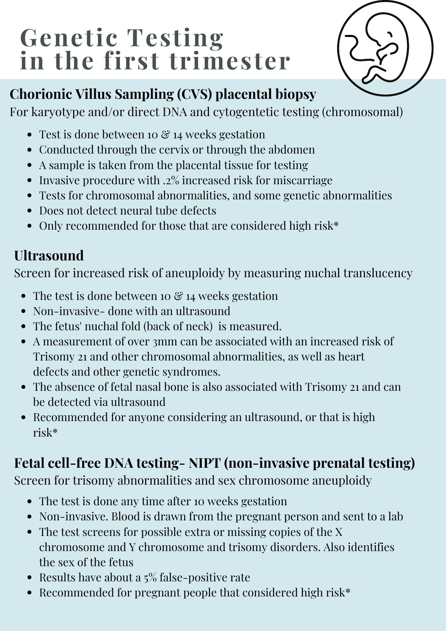# **Genetic Testing in the first trimester**



## **Chorionic Villus Sampling (CVS) placental biopsy**

For karyotype and/or direct DNA and cytogentetic testing (chromosomal)

- Test is done between 10  $\mathcal C$  14 weeks gestation
- Conducted through the cervix or through the abdomen
- A sample is taken from the placental tissue for testing
- Invasive procedure with .2% increased risk for miscarriage
- Tests for chromosomal abnormalities, and some genetic abnormalities
- Does not detect neural tube defects
- Only recommended for those that are considered high risk\*

## **Ultrasound**

Screen for increased risk of aneuploidy by measuring nuchal translucency

- The test is done between 10  $\mathcal{C}$  14 weeks gestation
- Non-invasive- done with an ultrasound
- The fetus' nuchal fold (back of neck) is measured.
- A measurement of over 3mm can be associated with an increased risk of Trisomy 21 and other chromosomal abnormalities, as well as heart defects and other genetic syndromes.
- The absence of fetal nasal bone is also associated with Trisomy 21 and can be detected via ultrasound
- Recommended for anyone considering an ultrasound, or that is high risk\*

# **Fetal cell-free DNA testing- NIPT (non-invasive prenatal testing)**

Screen for trisomy abnormalities and sex chromosome aneuploidy

- The test is done any time after 10 weeks gestation
- Non-invasive. Blood is drawn from the pregnant person and sent to a lab
- The test screens for possible extra or missing copies of the X chromosome and Y chromosome and trisomy disorders. Also identifies the sex of the fetus
- Results have about a  $5\%$  false-positive rate
- Recommended for pregnant people that considered high risk\*  $\bullet$